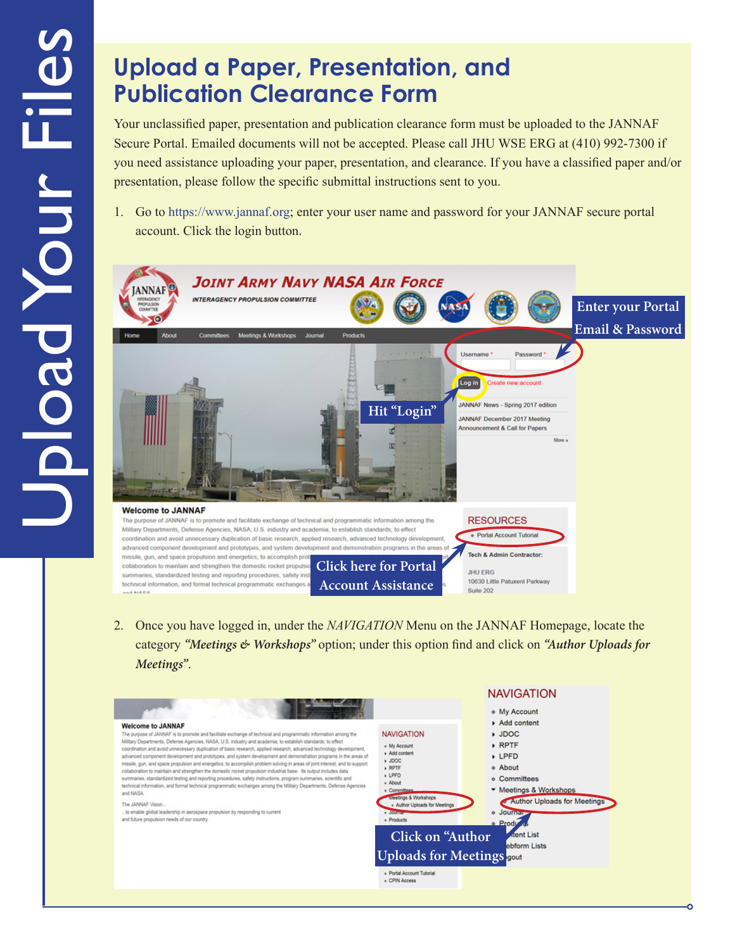## **Upload a Paper, Presentation, and Publication Clearance Form**

Your unclassified paper, presentation and publication clearance form must be uploaded to the JANNAF Secure Portal. Emailed documents will not be accepted. Please call JHU WSE ERG at (410) 992-7300 if you need assistance uploading your paper, presentation, and clearance. If you have a classified paper and/or presentation, please follow the specific submittal instructions sent to you.

1. Go to [https://www.jannaf.org;](https://www.jannaf.org/) enter your user name and password for your JANNAF secure portal account. Click the login button.



2. Once you have logged in, under the *NAVIGATION* Menu on the JANNAF Homepage, locate the category *"Meetings & Workshops"* option; under this option find and click on *"Author Uploads for Meetings"*.

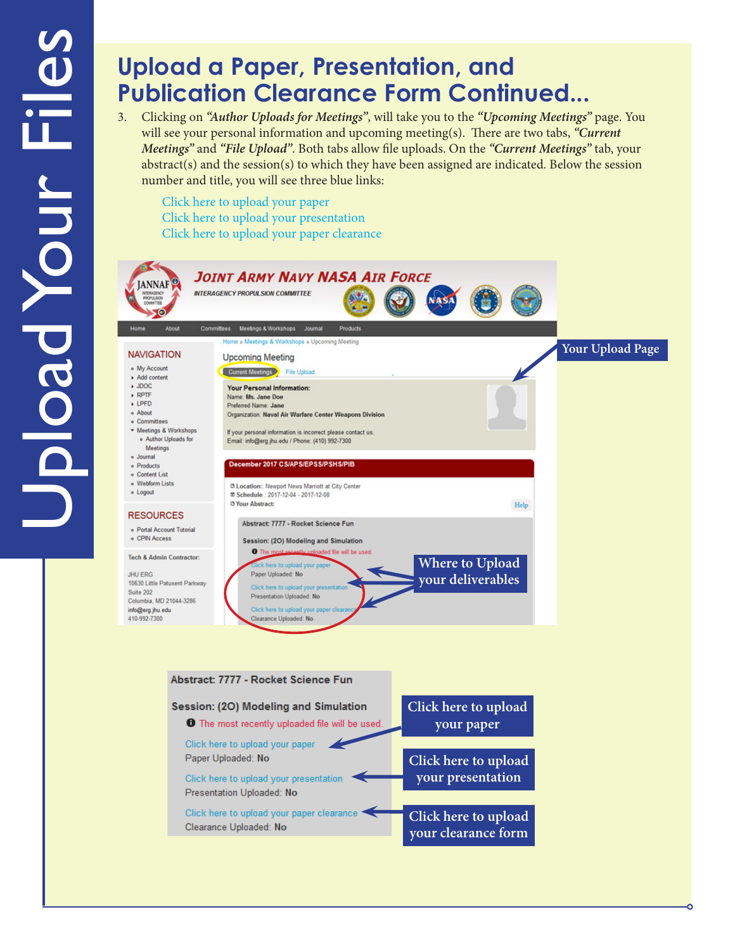## **Upload a Paper, Presentation, and Publication Clearance Form Continued...**

3. Clicking on *"Author Uploads for Meetings"*, will take you to the *"Upcoming Meetings"* page. You will see your personal information and upcoming meeting(s). There are two tabs, *"Current Meetings"* and *"File Upload"*. Both tabs allow file uploads. On the *"Current Meetings"* tab, your  $abstract(s)$  and the session(s) to which they have been assigned are indicated. Below the session number and title, you will see three blue links:

Click here to upload your paper Click here to upload your presentation Click here to upload your paper clearance